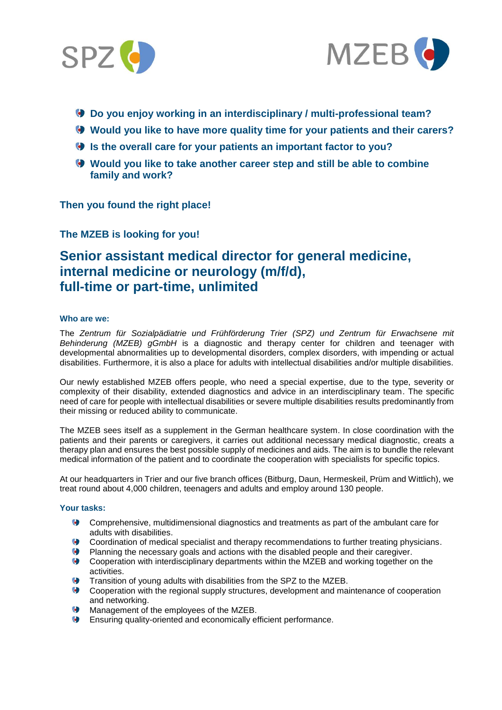



- **Do you enjoy working in an interdisciplinary / multi-professional team?**
- **Would you like to have more quality time for your patients and their carers?**
- **Is the overall care for your patients an important factor to you?**
- **Would you like to take another career step and still be able to combine family and work?**

**Then you found the right place!**

**The MZEB is looking for you!**

# **Senior assistant medical director for general medicine, internal medicine or neurology (m/f/d), full-time or part-time, unlimited**

## **Who are we:**

The *Zentrum für Sozialpädiatrie und Frühförderung Trier (SPZ) und Zentrum für Erwachsene mit Behinderung (MZEB) gGmbH* is a diagnostic and therapy center for children and teenager with developmental abnormalities up to developmental disorders, complex disorders, with impending or actual disabilities. Furthermore, it is also a place for adults with intellectual disabilities and/or multiple disabilities.

Our newly established MZEB offers people, who need a special expertise, due to the type, severity or complexity of their disability, extended diagnostics and advice in an interdisciplinary team. The specific need of care for people with intellectual disabilities or severe multiple disabilities results predominantly from their missing or reduced ability to communicate.

The MZEB sees itself as a supplement in the German healthcare system. In close coordination with the patients and their parents or caregivers, it carries out additional necessary medical diagnostic, creats a therapy plan and ensures the best possible supply of medicines and aids. The aim is to bundle the relevant medical information of the patient and to coordinate the cooperation with specialists for specific topics.

At our headquarters in Trier and our five branch offices (Bitburg, Daun, Hermeskeil, Prüm and Wittlich), we treat round about 4,000 children, teenagers and adults and employ around 130 people.

#### **Your tasks:**

- Comprehensive, multidimensional diagnostics and treatments as part of the ambulant care for adults with disabilities.
- Coordination of medical specialist and therapy recommendations to further treating physicians.
- Planning the necessary goals and actions with the disabled people and their caregiver.
- Cooperation with interdisciplinary departments within the MZEB and working together on the activities.
- Transition of young adults with disabilities from the SPZ to the MZEB.
- Cooperation with the regional supply structures, development and maintenance of cooperation and networking.
- **Management of the employees of the MZEB.**
- Ensuring quality-oriented and economically efficient performance.